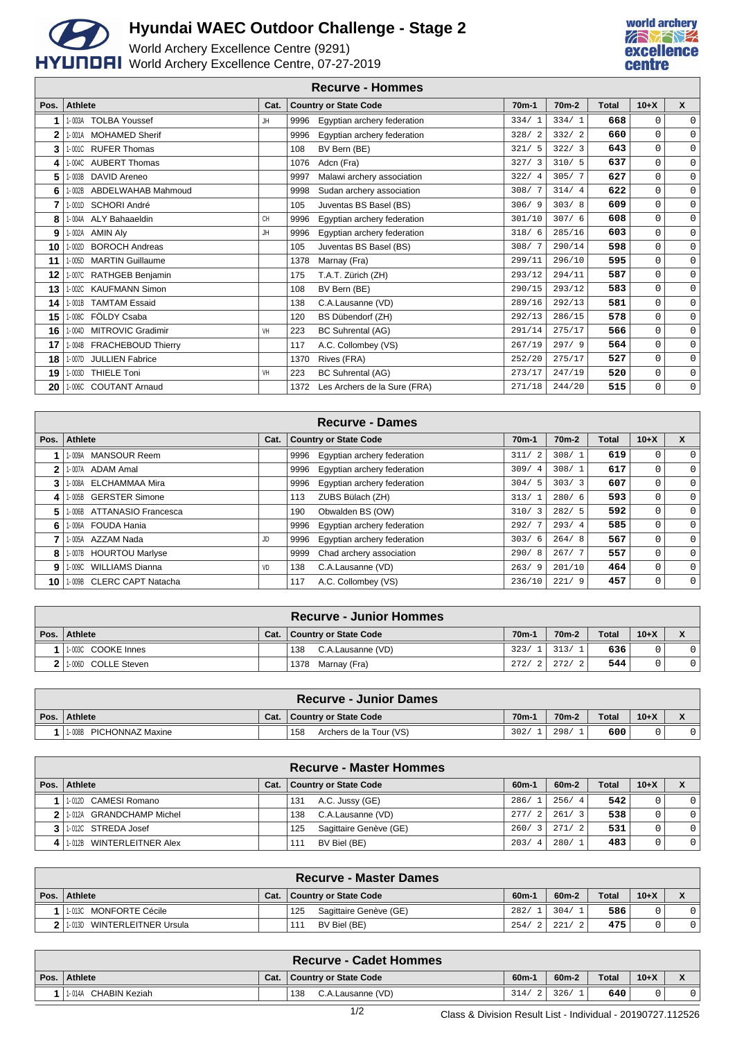

## **Hyundai WAEC Outdoor Challenge - Stage 2**

World Archery Excellence Centre (9291) HYUNDAI World Archery Excellence Centre, 07-27-2019



|              |                                        |      |      | <b>Recurve - Hommes</b>      |         |                    |              |              |              |
|--------------|----------------------------------------|------|------|------------------------------|---------|--------------------|--------------|--------------|--------------|
| Pos.         | <b>Athlete</b>                         | Cat. |      | <b>Country or State Code</b> | $70m-1$ | 70 <sub>m</sub> -2 | <b>Total</b> | $10+X$       | $\mathsf{x}$ |
|              | <b>TOLBA Youssef</b><br>1-003A         | JH   | 9996 | Egyptian archery federation  | 334/1   | 334/1              | 668          | 0            | $\mathbf 0$  |
| $\mathbf{2}$ | <b>MOHAMED Sherif</b><br>1-001A        |      | 9996 | Egyptian archery federation  | 328/2   | 332/2              | 660          | $\mathbf 0$  | $\mathbf 0$  |
| 3            | 1-001C RUFER Thomas                    |      | 108  | BV Bern (BE)                 | 321/5   | 322/3              | 643          | $\mathsf{O}$ | 0            |
| 4            | 1-004C AUBERT Thomas                   |      | 1076 | Adcn (Fra)                   | 327/3   | 310/5              | 637          | $\mathbf 0$  | $\mathsf{O}$ |
| 5            | DAVID Areneo<br>1-003B                 |      | 9997 | Malawi archery association   | 322/4   | 305/7              | 627          | $\mathsf{O}$ | $\mathbf 0$  |
| 6            | 1-002B ABDELWAHAB Mahmoud              |      | 9998 | Sudan archery association    | 308/7   | 314/4              | 622          | $\mathbf 0$  | $\mathsf{O}$ |
| 7            | 1-001D SCHORI André                    |      | 105  | Juventas BS Basel (BS)       | 306/9   | 303/8              | 609          | $\mathbf 0$  | $\mathsf{O}$ |
| 8            | 1-004A ALY Bahaaeldin                  | CH   | 9996 | Egyptian archery federation  | 301/10  | 307/6              | 608          | $\mathbf 0$  | $\mathsf{O}$ |
| 9            | 1-002A AMIN Aly                        | JH   | 9996 | Egyptian archery federation  | 318/6   | 285/16             | 603          | $\mathbf 0$  | $\mathbf 0$  |
| 10           | <b>BOROCH Andreas</b><br>1-002D        |      | 105  | Juventas BS Basel (BS)       | 308/7   | 290/14             | 598          | $\mathbf 0$  | $\mathsf{O}$ |
| 11           | 1-005D MARTIN Guillaume                |      | 1378 | Marnay (Fra)                 | 299/11  | 296/10             | 595          | $\mathbf 0$  | $\mathsf{O}$ |
| 12           | 1-007C RATHGEB Benjamin                |      | 175  | T.A.T. Zürich (ZH)           | 293/12  | 294/11             | 587          | $\mathsf{O}$ | $\mathsf{O}$ |
| 13           | 1-002C KAUFMANN Simon                  |      | 108  | BV Bern (BE)                 | 290/15  | 293/12             | 583          | $\mathbf 0$  | $\mathbf 0$  |
| 14           | 1-001B TAMTAM Essaid                   |      | 138  | C.A.Lausanne (VD)            | 289/16  | 292/13             | 581          | $\mathbf 0$  | $\mathsf{O}$ |
| 15           | FÖLDY Csaba<br>1-008C                  |      | 120  | BS Dübendorf (ZH)            | 292/13  | 286/15             | 578          | $\mathbf 0$  | $\mathbf 0$  |
| 16           | <b>MITROVIC Gradimir</b><br>$1 - 004D$ | VH   | 223  | <b>BC Suhrental (AG)</b>     | 291/14  | 275/17             | 566          | $\mathbf 0$  | $\mathbf 0$  |
| 17           | 1-004B FRACHEBOUD Thierry              |      | 117  | A.C. Collombey (VS)          | 267/19  | 297/9              | 564          | $\mathbf 0$  | $\mathbf 0$  |
| 18           | <b>JULLIEN Fabrice</b><br>1-007D       |      | 1370 | Rives (FRA)                  | 252/20  | 275/17             | 527          | $\mathbf 0$  | $\mathbf 0$  |
| 19           | <b>THIELE Toni</b><br>1-003D           | VH   | 223  | <b>BC Suhrental (AG)</b>     | 273/17  | 247/19             | 520          | 0            | $\mathbf 0$  |
| 20           | 1-006C COUTANT Arnaud                  |      | 1372 | Les Archers de la Sure (FRA) | 271/18  | 244/20             | 515          | $\mathbf 0$  | 0            |

|              | <b>Recurve - Dames</b>     |      |      |                              |                    |                    |              |        |          |  |  |  |
|--------------|----------------------------|------|------|------------------------------|--------------------|--------------------|--------------|--------|----------|--|--|--|
| Pos. $\vert$ | Athlete                    | Cat. |      | <b>Country or State Code</b> | 70 <sub>m</sub> -1 | 70 <sub>m</sub> -2 | <b>Total</b> | $10+X$ | X        |  |  |  |
|              | 1-009A MANSOUR Reem        |      | 9996 | Eqyptian archery federation  | 311/<br>-2         | 308/1              | 619          |        | $\Omega$ |  |  |  |
|              | 1-007A ADAM Amal           |      | 9996 | Eqyptian archery federation  | 309/4              | 308/1              | 617          |        | 0        |  |  |  |
| 3            | 1-008A ELCHAMMAA Mira      |      | 9996 | Eqyptian archery federation  | 304/5              | 303/3              | 607          |        | $\Omega$ |  |  |  |
| 41           | 1-005B GERSTER Simone      |      | 113  | ZUBS Bülach (ZH)             | 313/1              | 280/6              | 593          |        | $\Omega$ |  |  |  |
| 5.           | 1-006B ATTANASIO Francesca |      | 190  | Obwalden BS (OW)             | 310/3              | 282/5              | 592          | 0      | 0        |  |  |  |
| 6.           | 1-006A FOUDA Hania         |      | 9996 | Eqyptian archery federation  | 292/               | 293/4              | 585          | 0      | $\Omega$ |  |  |  |
|              | 1-005A AZZAM Nada          | JD   | 9996 | Eqyptian archery federation  | 303/6              | 264/8              | 567          | 0      | $\Omega$ |  |  |  |
| 8            | 1-007B HOURTOU Marlyse     |      | 9999 | Chad archery association     | 290/8              | 267/7              | 557          |        | $\Omega$ |  |  |  |
| 9            | 1-009C WILLIAMS Dianna     | VD   | 138  | C.A.Lausanne (VD)            | 263/9              | 201/10             | 464          | 0      | 0        |  |  |  |
| ا 10         | 1-009B CLERC CAPT Natacha  |      | 117  | A.C. Collombey (VS)          | 236/10             | 221/9              | 457          | 0      | 0        |  |  |  |

|                     |      | <b>Recurve - Junior Hommes</b> |                   |                    |              |        |  |
|---------------------|------|--------------------------------|-------------------|--------------------|--------------|--------|--|
| Pos. Athlete        | Cat. | <b>Country or State Code</b>   | 70 <sub>m</sub> - | 70 <sub>m</sub> -2 | <b>Total</b> | $10+X$ |  |
| 1-003C COOKE Innes  |      | C.A.Lausanne (VD)<br>138       | 323/              | 313/               | 636          |        |  |
| 1.006D COLLE Steven |      | 1378 Marnay (Fra)              | 272/2             | 272/               | 544          |        |  |

| <b>Recurve - Junior Dames</b> |      |                                |        |                    |              |        |  |  |  |
|-------------------------------|------|--------------------------------|--------|--------------------|--------------|--------|--|--|--|
| Pos. Athlete                  | Cat. | <b>Country or State Code</b>   | $70m-$ | 70 <sub>m</sub> -2 | <b>Total</b> | $10+X$ |  |  |  |
| PICHONNAZ Maxine<br>1-008B    |      | 158<br>Archers de la Tour (VS) | 302/   | 298.               | 600          |        |  |  |  |

|   | Recurve - Master Hommes   |      |                               |         |         |              |        |                |  |  |  |
|---|---------------------------|------|-------------------------------|---------|---------|--------------|--------|----------------|--|--|--|
|   | Pos. Athlete              | Cat. | <b>Country or State Code</b>  | $60m-1$ | $60m-2$ | <b>Total</b> | $10+X$ |                |  |  |  |
|   | 1-012D CAMESI Romano      |      | A.C. Jussy (GE)<br>131        | 286/1   | 256/4   | 542          |        | $\Omega$       |  |  |  |
|   | 1.012A GRANDCHAMP Michel  |      | C.A.Lausanne (VD)<br>138      | 277/2   | 261/3   | 538          |        | $\overline{0}$ |  |  |  |
|   | 3 1.012C STREDA Josef     |      | Sagittaire Genève (GE)<br>125 | 260/3   | 271/2   | 531          |        | $\overline{0}$ |  |  |  |
| 4 | 1-012B WINTERLEITNER Alex |      | BV Biel (BE)<br>111           | 203/4   | 280/1   | 483          | 0      | $\overline{0}$ |  |  |  |

|                | <b>Recurve - Master Dames</b>      |      |                               |         |                    |              |        |  |  |  |
|----------------|------------------------------------|------|-------------------------------|---------|--------------------|--------------|--------|--|--|--|
|                | Pos. Athlete                       | Cat. | <b>Country or State Code</b>  | $60m -$ | 60 <sub>m</sub> -2 | <b>Total</b> | $10+X$ |  |  |  |
|                | 1-013C MONFORTE Cécile             |      | Sagittaire Genève (GE)<br>125 | 282/    | 304/1              | 586          |        |  |  |  |
| 2 <sub>1</sub> | WINTERLEITNER Ursula<br>$1 - 013D$ |      | BV Biel (BE)<br>111           | 254/    | 221/               | 475          |        |  |  |  |

|      | <b>Recurve - Cadet Hommes</b> |      |                          |         |                    |       |        |  |  |  |
|------|-------------------------------|------|--------------------------|---------|--------------------|-------|--------|--|--|--|
| Pos. | Athlete                       | Cat. | Country or State Code    | $60m -$ | 60 <sub>m</sub> -2 | Total | $10+X$ |  |  |  |
|      | CHABIN Keziah<br>1-014A       |      | C.A.Lausanne (VD)<br>138 | 314/    | 326/               | 640   |        |  |  |  |